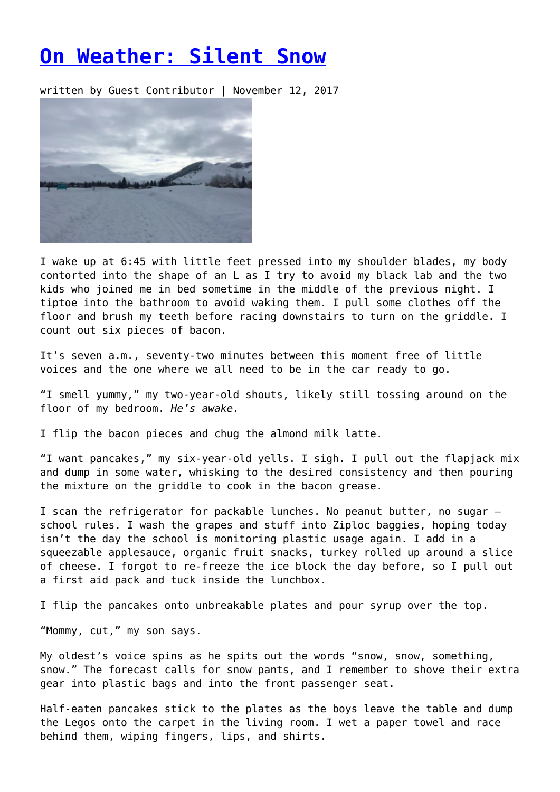## **[On Weather: Silent Snow](https://entropymag.org/on-weather-silent-snow/)**

written by Guest Contributor | November 12, 2017



I wake up at 6:45 with little feet pressed into my shoulder blades, my body contorted into the shape of an L as I try to avoid my black lab and the two kids who joined me in bed sometime in the middle of the previous night. I tiptoe into the bathroom to avoid waking them. I pull some clothes off the floor and brush my teeth before racing downstairs to turn on the griddle. I count out six pieces of bacon.

It's seven a.m., seventy-two minutes between this moment free of little voices and the one where we all need to be in the car ready to go.

"I smell yummy," my two-year-old shouts, likely still tossing around on the floor of my bedroom. *He's awake.*

I flip the bacon pieces and chug the almond milk latte.

"I want pancakes," my six-year-old yells. I sigh. I pull out the flapjack mix and dump in some water, whisking to the desired consistency and then pouring the mixture on the griddle to cook in the bacon grease.

I scan the refrigerator for packable lunches. No peanut butter, no sugar – school rules. I wash the grapes and stuff into Ziploc baggies, hoping today isn't the day the school is monitoring plastic usage again. I add in a squeezable applesauce, organic fruit snacks, turkey rolled up around a slice of cheese. I forgot to re-freeze the ice block the day before, so I pull out a first aid pack and tuck inside the lunchbox.

I flip the pancakes onto unbreakable plates and pour syrup over the top.

"Mommy, cut," my son says.

My oldest's voice spins as he spits out the words "snow, snow, something, snow." The forecast calls for snow pants, and I remember to shove their extra gear into plastic bags and into the front passenger seat.

Half-eaten pancakes stick to the plates as the boys leave the table and dump the Legos onto the carpet in the living room. I wet a paper towel and race behind them, wiping fingers, lips, and shirts.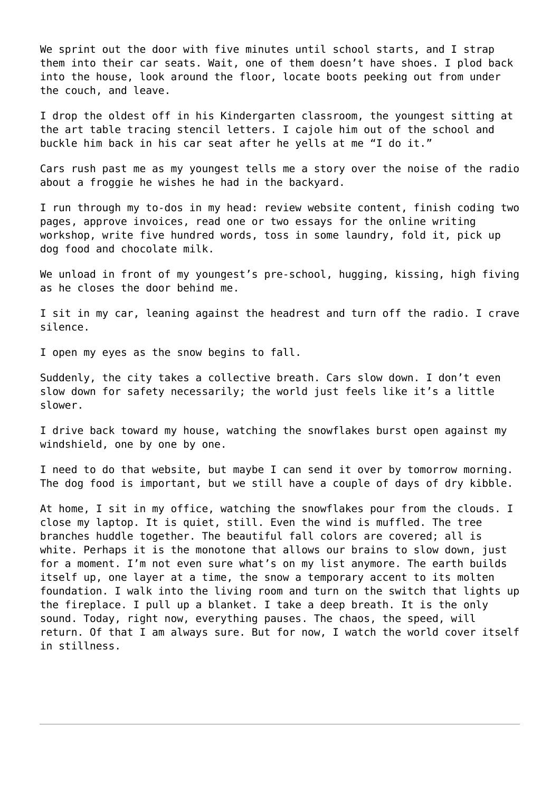We sprint out the door with five minutes until school starts, and I strap them into their car seats. Wait, one of them doesn't have shoes. I plod back into the house, look around the floor, locate boots peeking out from under the couch, and leave.

I drop the oldest off in his Kindergarten classroom, the youngest sitting at the art table tracing stencil letters. I cajole him out of the school and buckle him back in his car seat after he yells at me "I do it."

Cars rush past me as my youngest tells me a story over the noise of the radio about a froggie he wishes he had in the backyard.

I run through my to-dos in my head: review website content, finish coding two pages, approve invoices, read one or two essays for the online writing workshop, write five hundred words, toss in some laundry, fold it, pick up dog food and chocolate milk.

We unload in front of my youngest's pre-school, hugging, kissing, high fiving as he closes the door behind me.

I sit in my car, leaning against the headrest and turn off the radio. I crave silence.

I open my eyes as the snow begins to fall.

Suddenly, the city takes a collective breath. Cars slow down. I don't even slow down for safety necessarily; the world just feels like it's a little slower.

I drive back toward my house, watching the snowflakes burst open against my windshield, one by one by one.

I need to do that website, but maybe I can send it over by tomorrow morning. The dog food is important, but we still have a couple of days of dry kibble.

At home, I sit in my office, watching the snowflakes pour from the clouds. I close my laptop. It is quiet, still. Even the wind is muffled. The tree branches huddle together. The beautiful fall colors are covered; all is white. Perhaps it is the monotone that allows our brains to slow down, just for a moment. I'm not even sure what's on my list anymore. The earth builds itself up, one layer at a time, the snow a temporary accent to its molten foundation. I walk into the living room and turn on the switch that lights up the fireplace. I pull up a blanket. I take a deep breath. It is the only sound. Today, right now, everything pauses. The chaos, the speed, will return. Of that I am always sure. But for now, I watch the world cover itself in stillness.